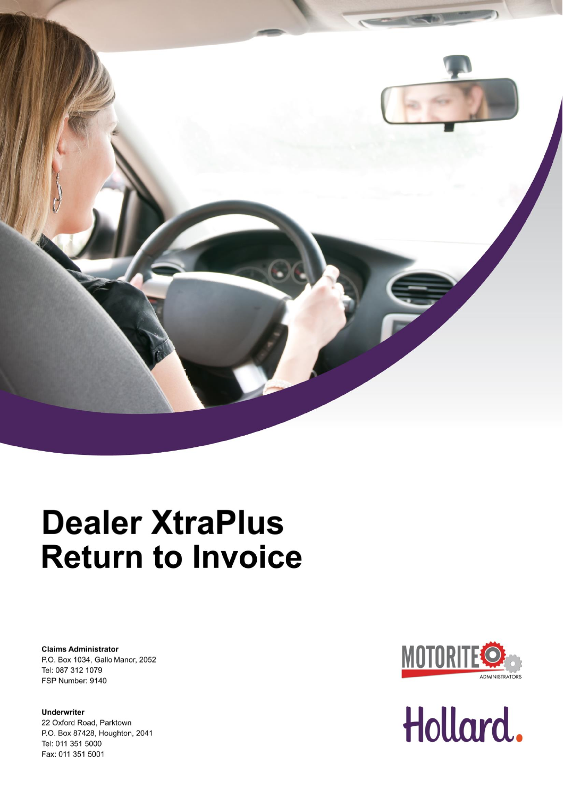

# **Dealer XtraPlus Return to Invoice**

**Claims Administrator** P.O. Box 1034, Gallo Manor, 2052 Tel: 087 312 1079 FSP Number: 9140

**Underwriter** 22 Oxford Road, Parktown P.O. Box 87428, Houghton, 2041 Tel: 011 351 5000 Fax: 011 351 5001



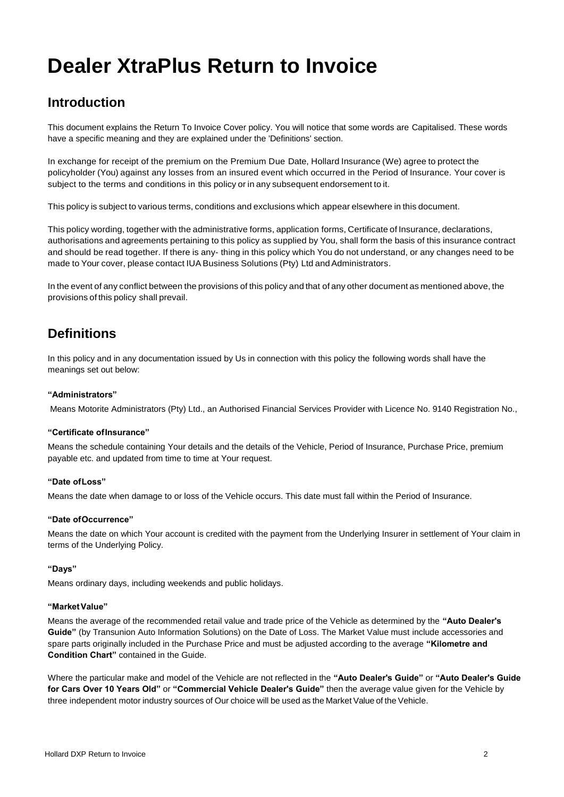## **Dealer XtraPlus Return to Invoice**

### **Introduction**

This document explains the Return To Invoice Cover policy. You will notice that some words are Capitalised. These words have a specific meaning and they are explained under the 'Definitions' section.

In exchange for receipt of the premium on the Premium Due Date, Hollard Insurance (We) agree to protect the policyholder (You) against any losses from an insured event which occurred in the Period of Insurance. Your cover is subject to the terms and conditions in this policy or in any subsequent endorsement to it.

This policy is subject to various terms, conditions and exclusions which appear elsewhere in this document.

This policy wording, together with the administrative forms, application forms, Certificate of Insurance, declarations, authorisations and agreements pertaining to this policy as supplied by You, shall form the basis of this insurance contract and should be read together. If there is any- thing in this policy which You do not understand, or any changes need to be made to Your cover, please contact IUA Business Solutions (Pty) Ltd and Administrators.

In the event of any conflict between the provisions of this policy and that of any other document as mentioned above, the provisions of this policy shall prevail.

## **Definitions**

In this policy and in any documentation issued by Us in connection with this policy the following words shall have the meanings set out below:

#### **"Administrators"**

Means Motorite Administrators (Pty) Ltd., an Authorised Financial Services Provider with Licence No. 9140 Registration No.,

#### **"Certificate ofInsurance"**

Means the schedule containing Your details and the details of the Vehicle, Period of Insurance, Purchase Price, premium payable etc. and updated from time to time at Your request.

#### **"Date ofLoss"**

Means the date when damage to or loss of the Vehicle occurs. This date must fall within the Period of Insurance.

#### **"Date ofOccurrence"**

Means the date on which Your account is credited with the payment from the Underlying Insurer in settlement of Your claim in terms of the Underlying Policy.

#### **"Days"**

Means ordinary days, including weekends and public holidays.

#### **"MarketValue"**

Means the average of the recommended retail value and trade price of the Vehicle as determined by the **"Auto Dealer's Guide"** (by Transunion Auto Information Solutions) on the Date of Loss. The Market Value must include accessories and spare parts originally included in the Purchase Price and must be adjusted according to the average **"Kilometre and Condition Chart"** contained in the Guide.

Where the particular make and model of the Vehicle are not reflected in the **"Auto Dealer's Guide"** or **"Auto Dealer's Guide for Cars Over 10 Years Old"** or **"Commercial Vehicle Dealer's Guide"** then the average value given for the Vehicle by three independent motor industry sources of Our choice will be used as the Market Value of the Vehicle.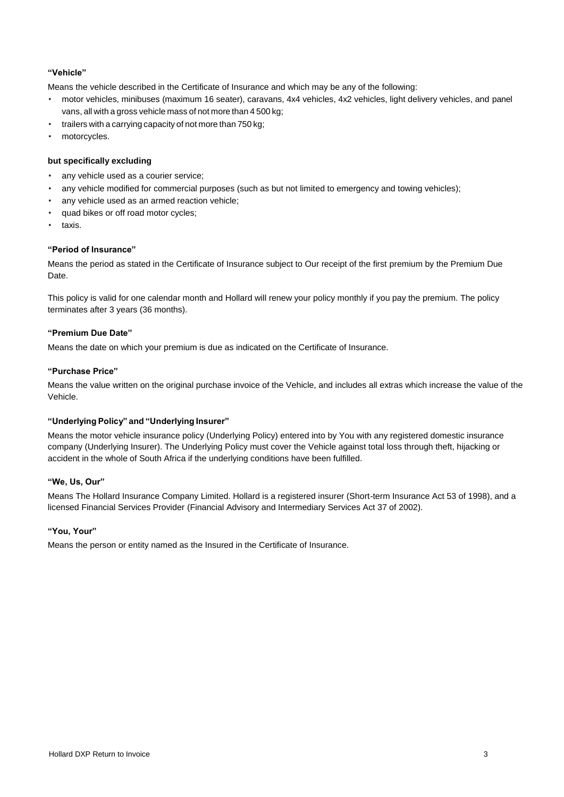#### **"Vehicle"**

Means the vehicle described in the Certificate of Insurance and which may be any of the following:

- motor vehicles, minibuses (maximum 16 seater), caravans, 4x4 vehicles, 4x2 vehicles, light delivery vehicles, and panel vans, all with a gross vehicle mass of not more than 4 500 kg;
- trailers with a carrying capacity of not more than 750 kg;
- motorcycles.

#### **but specifically excluding**

- any vehicle used as a courier service;
- any vehicle modified for commercial purposes (such as but not limited to emergency and towing vehicles);
- any vehicle used as an armed reaction vehicle;
- quad bikes or off road motor cycles;
- taxis.

#### **"Period of Insurance"**

Means the period as stated in the Certificate of Insurance subject to Our receipt of the first premium by the Premium Due Date.

This policy is valid for one calendar month and Hollard will renew your policy monthly if you pay the premium. The policy terminates after 3 years (36 months).

#### **"Premium Due Date"**

Means the date on which your premium is due as indicated on the Certificate of Insurance.

#### **"Purchase Price"**

Means the value written on the original purchase invoice of the Vehicle, and includes all extras which increase the value of the Vehicle.

#### **"Underlying Policy" and "Underlying Insurer"**

Means the motor vehicle insurance policy (Underlying Policy) entered into by You with any registered domestic insurance company (Underlying Insurer). The Underlying Policy must cover the Vehicle against total loss through theft, hijacking or accident in the whole of South Africa if the underlying conditions have been fulfilled.

#### **"We, Us, Our"**

Means The Hollard Insurance Company Limited. Hollard is a registered insurer (Short-term Insurance Act 53 of 1998), and a licensed Financial Services Provider (Financial Advisory and Intermediary Services Act 37 of 2002).

#### **"You, Your"**

Means the person or entity named as the Insured in the Certificate of Insurance.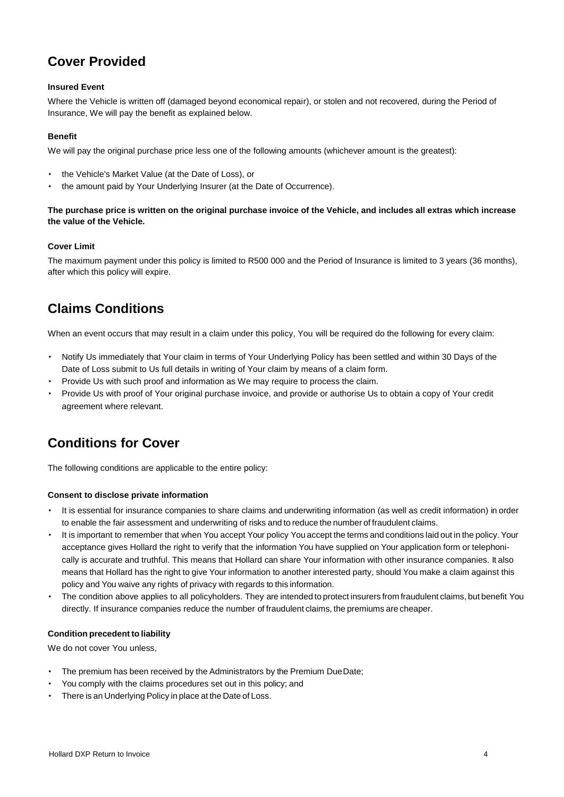## **Cover Provided**

#### **Insured Event**

Where the Vehicle is written off (damaged beyond economical repair), or stolen and not recovered, during the Period of Insurance, We will pay the benefit as explained below.

#### **Benefit**

We will pay the original purchase price less one of the following amounts (whichever amount is the greatest):

- the Vehicle's Market Value (at the Date of Loss), or
- the amount paid by Your Underlying Insurer (at the Date of Occurrence).

#### **The purchase price is written on the original purchase invoice of the Vehicle, and includes all extras which increase the value of the Vehicle.**

#### **Cover Limit**

The maximum payment under this policy is limited to R500 000 and the Period of Insurance is limited to 3 years (36 months), after which this policy will expire.

## **Claims Conditions**

When an event occurs that may result in a claim under this policy, You will be required do the following for every claim:

- Notify Us immediately that Your claim in terms of Your Underlying Policy has been settled and within 30 Days of the Date of Loss submit to Us full details in writing of Your claim by means of a claim form.
- Provide Us with such proof and information as We may require to process the claim.
- Provide Us with proof of Your original purchase invoice, and provide or authorise Us to obtain a copy of Your credit agreement where relevant.

## **Conditions for Cover**

The following conditions are applicable to the entire policy:

#### **Consent to disclose private information**

- It is essential for insurance companies to share claims and underwriting information (as well as credit information) in order to enable the fair assessment and underwriting of risks and to reduce the number of fraudulent claims.
- It is important to remember that when You accept Your policy You accept the terms and conditions laid out in the policy. Your acceptance gives Hollard the right to verify that the information You have supplied on Your application form or telephonically is accurate and truthful. This means that Hollard can share Your information with other insurance companies. It also means that Hollard has the right to give Your information to another interested party, should You make a claim against this policy and You waive any rights of privacy with regards to this information.
- The condition above applies to all policyholders. They are intended to protect insurers from fraudulent claims, but benefit You directly. If insurance companies reduce the number of fraudulent claims, the premiums are cheaper.

#### **Condition precedent to liability**

We do not cover You unless,

- The premium has been received by the Administrators by the Premium DueDate:
- You comply with the claims procedures set out in this policy; and
- There is an Underlying Policy in place at the Date of Loss.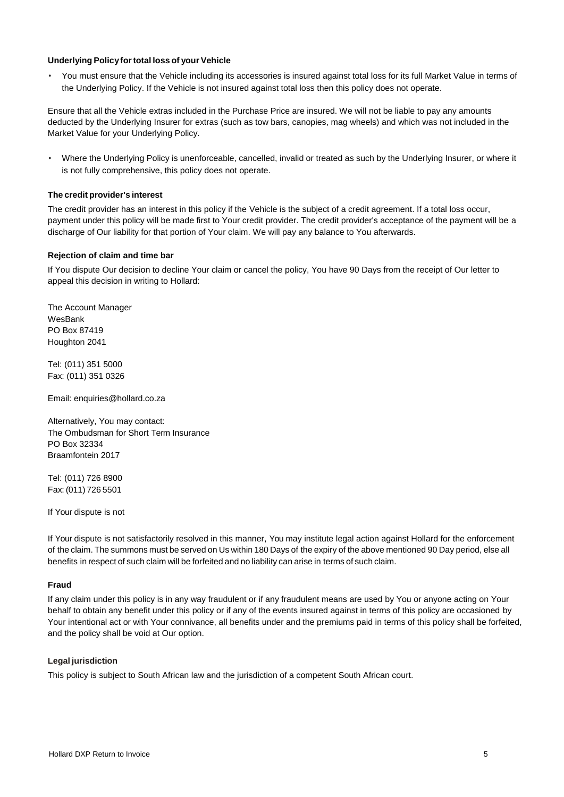#### **Underlying Policyfortotal loss of your Vehicle**

• You must ensure that the Vehicle including its accessories is insured against total loss for its full Market Value in terms of the Underlying Policy. If the Vehicle is not insured against total loss then this policy does not operate.

Ensure that all the Vehicle extras included in the Purchase Price are insured. We will not be liable to pay any amounts deducted by the Underlying Insurer for extras (such as tow bars, canopies, mag wheels) and which was not included in the Market Value for your Underlying Policy.

• Where the Underlying Policy is unenforceable, cancelled, invalid or treated as such by the Underlying Insurer, or where it is not fully comprehensive, this policy does not operate.

#### **The credit provider's interest**

The credit provider has an interest in this policy if the Vehicle is the subject of a credit agreement. If a total loss occur, payment under this policy will be made first to Your credit provider. The credit provider's acceptance of the payment will be a discharge of Our liability for that portion of Your claim. We will pay any balance to You afterwards.

#### **Rejection of claim and time bar**

If You dispute Our decision to decline Your claim or cancel the policy, You have 90 Days from the receipt of Our letter to appeal this decision in writing to Hollard:

The Account Manager WesBank PO Box 87419 Houghton 2041

Tel: (011) 351 5000 Fax: (011) 351 0326

Email: [enquiries@hollard.co.za](mailto:enquiries@hollard.co.za)

Alternatively, You may contact: The Ombudsman for Short Term Insurance PO Box 32334 Braamfontein 2017

Tel: (011) 726 8900 Fax: (011) 726 5501

If Your dispute is not

If Your dispute is not satisfactorily resolved in this manner, You may institute legal action against Hollard for the enforcement of the claim. The summons must be served on Us within 180 Days of the expiry of the above mentioned 90 Day period, else all benefits in respect of such claim will be forfeited and no liability can arise in terms of such claim.

#### **Fraud**

If any claim under this policy is in any way fraudulent or if any fraudulent means are used by You or anyone acting on Your behalf to obtain any benefit under this policy or if any of the events insured against in terms of this policy are occasioned by Your intentional act or with Your connivance, all benefits under and the premiums paid in terms of this policy shall be forfeited, and the policy shall be void at Our option.

#### **Legal jurisdiction**

This policy is subject to South African law and the jurisdiction of a competent South African court.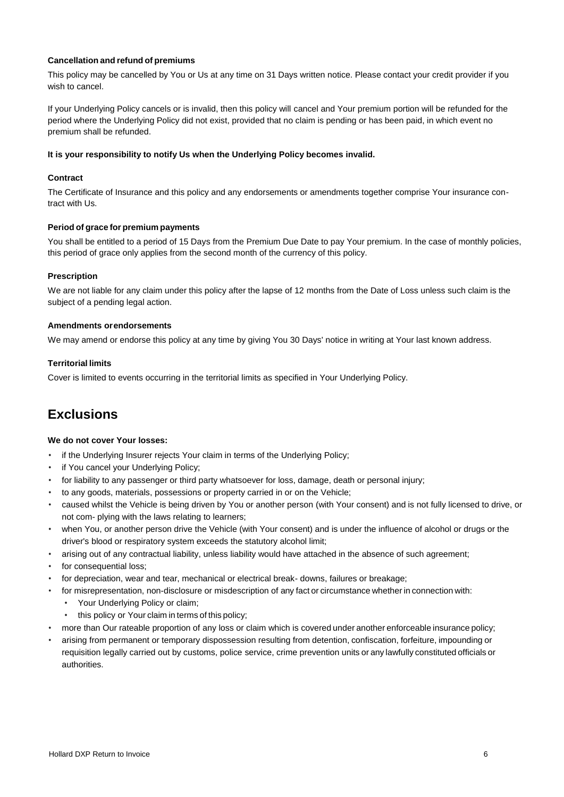#### **Cancellation and refund of premiums**

This policy may be cancelled by You or Us at any time on 31 Days written notice. Please contact your credit provider if you wish to cancel.

If your Underlying Policy cancels or is invalid, then this policy will cancel and Your premium portion will be refunded for the period where the Underlying Policy did not exist, provided that no claim is pending or has been paid, in which event no premium shall be refunded.

#### **It is your responsibility to notify Us when the Underlying Policy becomes invalid.**

#### **Contract**

The Certificate of Insurance and this policy and any endorsements or amendments together comprise Your insurance contract with Us.

#### **Period of grace for premium payments**

You shall be entitled to a period of 15 Days from the Premium Due Date to pay Your premium. In the case of monthly policies, this period of grace only applies from the second month of the currency of this policy.

#### **Prescription**

We are not liable for any claim under this policy after the lapse of 12 months from the Date of Loss unless such claim is the subject of a pending legal action.

#### **Amendments orendorsements**

We may amend or endorse this policy at any time by giving You 30 Days' notice in writing at Your last known address.

#### **Territorial limits**

Cover is limited to events occurring in the territorial limits as specified in Your Underlying Policy.

## **Exclusions**

#### **We do not cover Your losses:**

- if the Underlying Insurer rejects Your claim in terms of the Underlying Policy;
- if You cancel your Underlying Policy;
- for liability to any passenger or third party whatsoever for loss, damage, death or personal injury;
- to any goods, materials, possessions or property carried in or on the Vehicle;
- caused whilst the Vehicle is being driven by You or another person (with Your consent) and is not fully licensed to drive, or not com- plying with the laws relating to learners;
- when You, or another person drive the Vehicle (with Your consent) and is under the influence of alcohol or drugs or the driver's blood or respiratory system exceeds the statutory alcohol limit;
- arising out of any contractual liability, unless liability would have attached in the absence of such agreement;
- for consequential loss:
- for depreciation, wear and tear, mechanical or electrical break- downs, failures or breakage;
- for misrepresentation, non-disclosure or misdescription of any fact or circumstance whether in connection with:
	- Your Underlying Policy or claim;
	- this policy or Your claim in terms of this policy;
- more than Our rateable proportion of any loss or claim which is covered under another enforceable insurance policy;
- arising from permanent or temporary dispossession resulting from detention, confiscation, forfeiture, impounding or requisition legally carried out by customs, police service, crime prevention units or any lawfully constituted officials or authorities.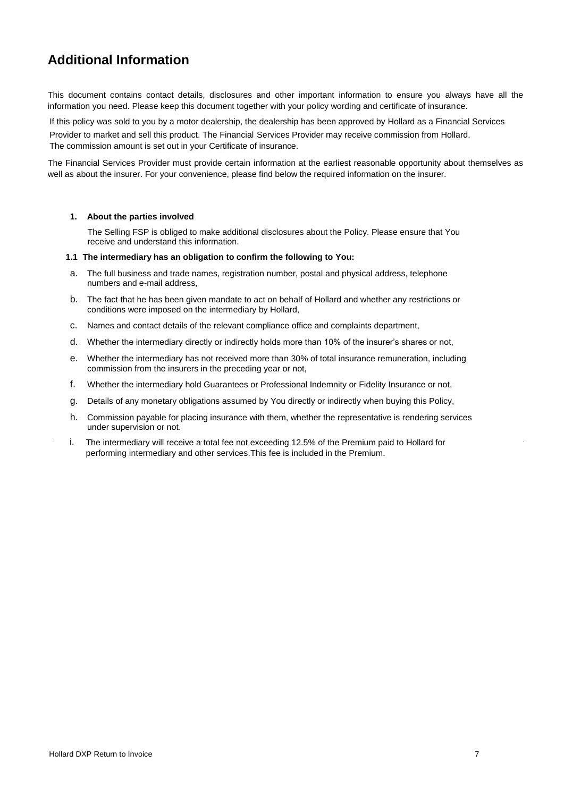## **Additional Information**

This document contains contact details, disclosures and other important information to ensure you always have all the information you need. Please keep this document together with your policy wording and certificate of insurance.

If this policy was sold to you by a motor dealership, the dealership has been approved by Hollard as a Financial Services

Provider to market and sell this product. The Financial Services Provider may receive commission from Hollard. The commission amount is set out in your Certificate of insurance.

The Financial Services Provider must provide certain information at the earliest reasonable opportunity about themselves as well as about the insurer. For your convenience, please find below the required information on the insurer.

#### **1. About the parties involved**

The Selling FSP is obliged to make additional disclosures about the Policy. Please ensure that You receive and understand this information.

#### **1.1 The intermediary has an obligation to confirm the following to You:**

- a. The full business and trade names, registration number, postal and physical address, telephone numbers and e-mail address,
- b. The fact that he has been given mandate to act on behalf of Hollard and whether any restrictions or conditions were imposed on the intermediary by Hollard,
- c. Names and contact details of the relevant compliance office and complaints department,
- d. Whether the intermediary directly or indirectly holds more than 10% of the insurer's shares or not,
- e. Whether the intermediary has not received more than 30% of total insurance remuneration, including commission from the insurers in the preceding year or not,
- f. Whether the intermediary hold Guarantees or Professional Indemnity or Fidelity Insurance or not,
- g. Details of any monetary obligations assumed by You directly or indirectly when buying this Policy,
- h. Commission payable for placing insurance with them, whether the representative is rendering services under supervision or not.
- i. The intermediary will receive a total fee not exceeding 12.5% of the Premium paid to Hollard for performing intermediary and other services.This fee is included in the Premium.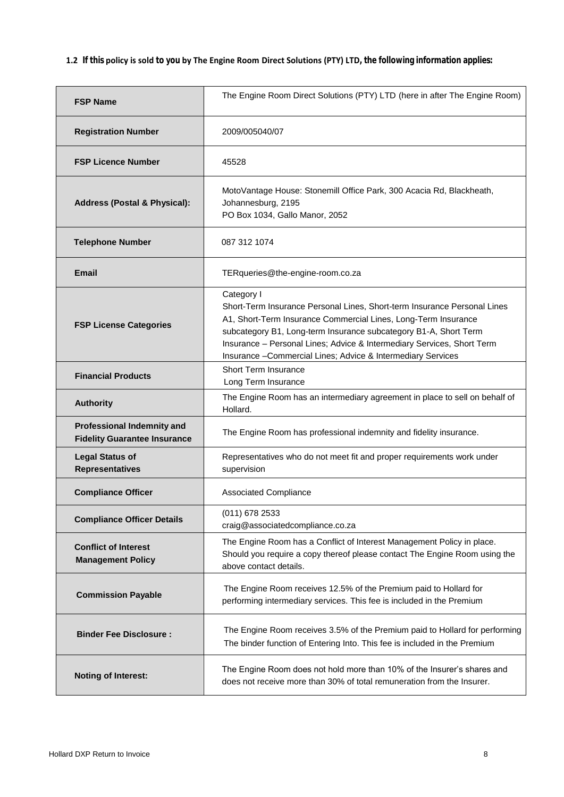**1.2 If this policy is sold to you by The Engine Room Direct Solutions (PTY) LTD, the following information applies:**

| <b>FSP Name</b>                                                          | The Engine Room Direct Solutions (PTY) LTD (here in after The Engine Room)                                                                                                                                                                                                                                                                                             |  |
|--------------------------------------------------------------------------|------------------------------------------------------------------------------------------------------------------------------------------------------------------------------------------------------------------------------------------------------------------------------------------------------------------------------------------------------------------------|--|
| <b>Registration Number</b>                                               | 2009/005040/07                                                                                                                                                                                                                                                                                                                                                         |  |
| <b>FSP Licence Number</b>                                                | 45528                                                                                                                                                                                                                                                                                                                                                                  |  |
| <b>Address (Postal &amp; Physical):</b>                                  | MotoVantage House: Stonemill Office Park, 300 Acacia Rd, Blackheath,<br>Johannesburg, 2195<br>PO Box 1034, Gallo Manor, 2052                                                                                                                                                                                                                                           |  |
| <b>Telephone Number</b>                                                  | 087 312 1074                                                                                                                                                                                                                                                                                                                                                           |  |
| <b>Email</b>                                                             | TERqueries@the-engine-room.co.za                                                                                                                                                                                                                                                                                                                                       |  |
| <b>FSP License Categories</b>                                            | Category I<br>Short-Term Insurance Personal Lines, Short-term Insurance Personal Lines<br>A1, Short-Term Insurance Commercial Lines, Long-Term Insurance<br>subcategory B1, Long-term Insurance subcategory B1-A, Short Term<br>Insurance - Personal Lines; Advice & Intermediary Services, Short Term<br>Insurance - Commercial Lines; Advice & Intermediary Services |  |
| <b>Financial Products</b>                                                | <b>Short Term Insurance</b><br>Long Term Insurance                                                                                                                                                                                                                                                                                                                     |  |
| <b>Authority</b>                                                         | The Engine Room has an intermediary agreement in place to sell on behalf of<br>Hollard.                                                                                                                                                                                                                                                                                |  |
| <b>Professional Indemnity and</b><br><b>Fidelity Guarantee Insurance</b> | The Engine Room has professional indemnity and fidelity insurance.                                                                                                                                                                                                                                                                                                     |  |
| <b>Legal Status of</b><br><b>Representatives</b>                         | Representatives who do not meet fit and proper requirements work under<br>supervision                                                                                                                                                                                                                                                                                  |  |
| <b>Compliance Officer</b>                                                | <b>Associated Compliance</b>                                                                                                                                                                                                                                                                                                                                           |  |
| <b>Compliance Officer Details</b>                                        | (011) 678 2533<br>craig@associatedcompliance.co.za                                                                                                                                                                                                                                                                                                                     |  |
| <b>Conflict of Interest</b><br><b>Management Policy</b>                  | The Engine Room has a Conflict of Interest Management Policy in place.<br>Should you require a copy thereof please contact The Engine Room using the<br>above contact details.                                                                                                                                                                                         |  |
| <b>Commission Payable</b>                                                | The Engine Room receives 12.5% of the Premium paid to Hollard for<br>performing intermediary services. This fee is included in the Premium                                                                                                                                                                                                                             |  |
| <b>Binder Fee Disclosure:</b>                                            | The Engine Room receives 3.5% of the Premium paid to Hollard for performing<br>The binder function of Entering Into. This fee is included in the Premium                                                                                                                                                                                                               |  |
| <b>Noting of Interest:</b>                                               | The Engine Room does not hold more than 10% of the Insurer's shares and<br>does not receive more than 30% of total remuneration from the Insurer.                                                                                                                                                                                                                      |  |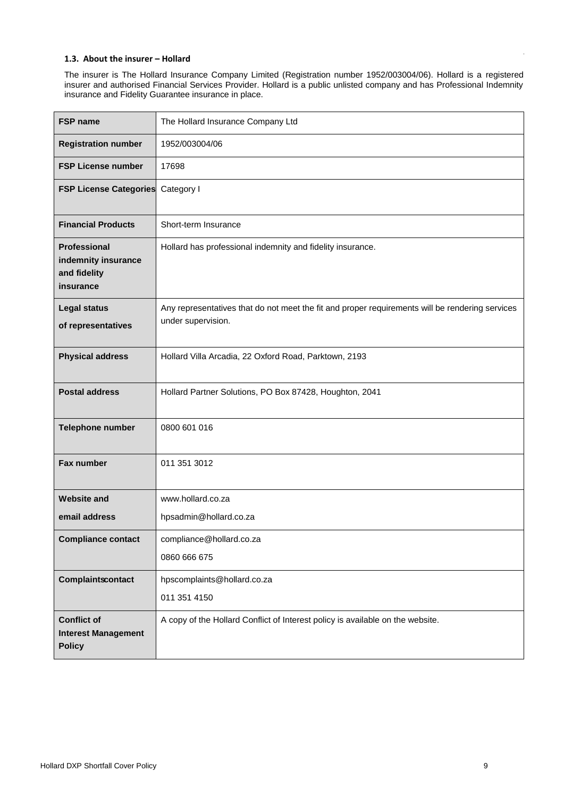#### **1.3. About the insurer – Hollard**

The insurer is The Hollard Insurance Company Limited (Registration number 1952/003004/06). Hollard is a registered insurer and authorised Financial Services Provider. Hollard is a public unlisted company and has Professional Indemnity insurance and Fidelity Guarantee insurance in place.

| <b>FSP name</b>                                                   | The Hollard Insurance Company Ltd                                                                                     |  |
|-------------------------------------------------------------------|-----------------------------------------------------------------------------------------------------------------------|--|
| <b>Registration number</b>                                        | 1952/003004/06                                                                                                        |  |
| <b>FSP License number</b>                                         | 17698                                                                                                                 |  |
| <b>FSP License Categories</b>                                     | Category I                                                                                                            |  |
| <b>Financial Products</b>                                         | Short-term Insurance                                                                                                  |  |
| Professional<br>indemnity insurance<br>and fidelity<br>insurance  | Hollard has professional indemnity and fidelity insurance.                                                            |  |
| <b>Legal status</b><br>of representatives                         | Any representatives that do not meet the fit and proper requirements will be rendering services<br>under supervision. |  |
| <b>Physical address</b>                                           | Hollard Villa Arcadia, 22 Oxford Road, Parktown, 2193                                                                 |  |
| <b>Postal address</b>                                             | Hollard Partner Solutions, PO Box 87428, Houghton, 2041                                                               |  |
| Telephone number                                                  | 0800 601 016                                                                                                          |  |
| Fax number                                                        | 011 351 3012                                                                                                          |  |
| <b>Website and</b>                                                | www.hollard.co.za                                                                                                     |  |
| email address                                                     | hpsadmin@hollard.co.za                                                                                                |  |
| <b>Compliance contact</b>                                         | compliance@hollard.co.za                                                                                              |  |
|                                                                   | 0860 666 675                                                                                                          |  |
| Complaintscontact                                                 | hpscomplaints@hollard.co.za                                                                                           |  |
|                                                                   | 011 351 4150                                                                                                          |  |
| <b>Conflict of</b><br><b>Interest Management</b><br><b>Policy</b> | A copy of the Hollard Conflict of Interest policy is available on the website.                                        |  |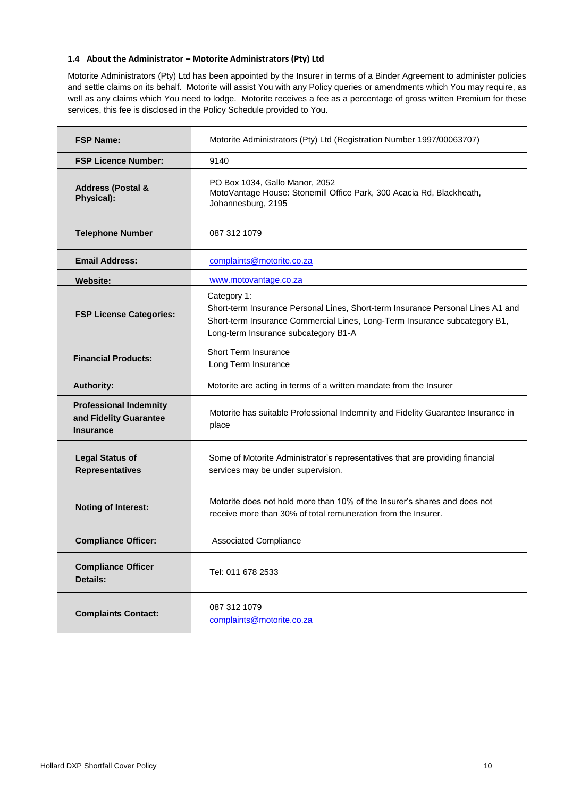#### **1.4 About the Administrator – Motorite Administrators (Pty) Ltd**

Motorite Administrators (Pty) Ltd has been appointed by the Insurer in terms of a Binder Agreement to administer policies and settle claims on its behalf. Motorite will assist You with any Policy queries or amendments which You may require, as well as any claims which You need to lodge. Motorite receives a fee as a percentage of gross written Premium for these services, this fee is disclosed in the Policy Schedule provided to You.

| <b>FSP Name:</b>                                                            | Motorite Administrators (Pty) Ltd (Registration Number 1997/00063707)                                                                                                                                                |  |  |
|-----------------------------------------------------------------------------|----------------------------------------------------------------------------------------------------------------------------------------------------------------------------------------------------------------------|--|--|
| <b>FSP Licence Number:</b>                                                  | 9140                                                                                                                                                                                                                 |  |  |
| <b>Address (Postal &amp;</b><br>Physical):                                  | PO Box 1034, Gallo Manor, 2052<br>MotoVantage House: Stonemill Office Park, 300 Acacia Rd, Blackheath,<br>Johannesburg, 2195                                                                                         |  |  |
| <b>Telephone Number</b>                                                     | 087 312 1079                                                                                                                                                                                                         |  |  |
| <b>Email Address:</b>                                                       | complaints@motorite.co.za                                                                                                                                                                                            |  |  |
| <b>Website:</b>                                                             | www.motovantage.co.za                                                                                                                                                                                                |  |  |
| <b>FSP License Categories:</b>                                              | Category 1:<br>Short-term Insurance Personal Lines, Short-term Insurance Personal Lines A1 and<br>Short-term Insurance Commercial Lines, Long-Term Insurance subcategory B1,<br>Long-term Insurance subcategory B1-A |  |  |
| <b>Financial Products:</b>                                                  | <b>Short Term Insurance</b><br>Long Term Insurance                                                                                                                                                                   |  |  |
| <b>Authority:</b>                                                           | Motorite are acting in terms of a written mandate from the Insurer                                                                                                                                                   |  |  |
| <b>Professional Indemnity</b><br>and Fidelity Guarantee<br><b>Insurance</b> | Motorite has suitable Professional Indemnity and Fidelity Guarantee Insurance in<br>place                                                                                                                            |  |  |
| <b>Legal Status of</b><br><b>Representatives</b>                            | Some of Motorite Administrator's representatives that are providing financial<br>services may be under supervision.                                                                                                  |  |  |
| <b>Noting of Interest:</b>                                                  | Motorite does not hold more than 10% of the Insurer's shares and does not<br>receive more than 30% of total remuneration from the Insurer.                                                                           |  |  |
| <b>Compliance Officer:</b>                                                  | Associated Compliance                                                                                                                                                                                                |  |  |
| <b>Compliance Officer</b><br><b>Details:</b>                                | Tel: 011 678 2533                                                                                                                                                                                                    |  |  |
| <b>Complaints Contact:</b>                                                  | 087 312 1079<br>complaints@motorite.co.za                                                                                                                                                                            |  |  |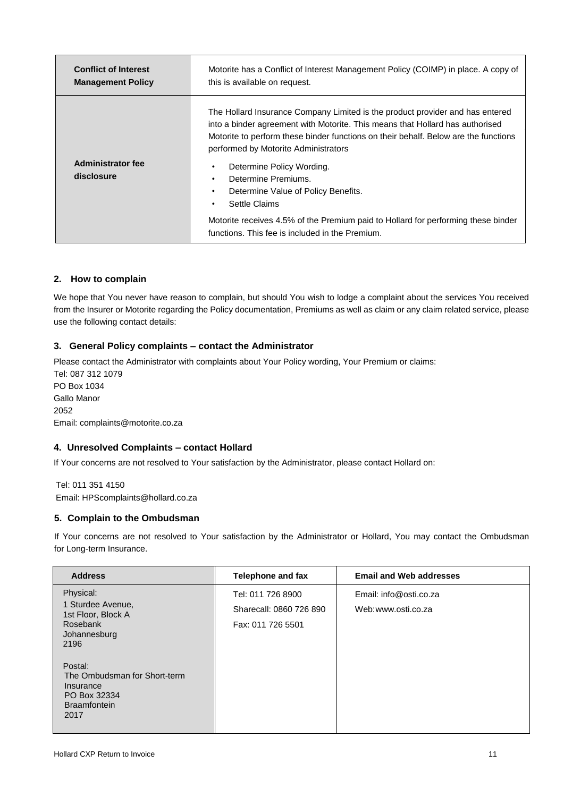| <b>Conflict of Interest</b><br><b>Management Policy</b> | Motorite has a Conflict of Interest Management Policy (COIMP) in place. A copy of<br>this is available on request.                                                                                                                                                                                                                                                                                             |  |
|---------------------------------------------------------|----------------------------------------------------------------------------------------------------------------------------------------------------------------------------------------------------------------------------------------------------------------------------------------------------------------------------------------------------------------------------------------------------------------|--|
| <b>Administrator fee</b><br>disclosure                  | The Hollard Insurance Company Limited is the product provider and has entered<br>into a binder agreement with Motorite. This means that Hollard has authorised<br>Motorite to perform these binder functions on their behalf. Below are the functions<br>performed by Motorite Administrators<br>Determine Policy Wording.<br>Determine Premiums.<br>٠<br>Determine Value of Policy Benefits.<br>Settle Claims |  |
|                                                         | Motorite receives 4.5% of the Premium paid to Hollard for performing these binder<br>functions. This fee is included in the Premium.                                                                                                                                                                                                                                                                           |  |

#### **2. How to complain**

We hope that You never have reason to complain, but should You wish to lodge a complaint about the services You received from the Insurer or Motorite regarding the Policy documentation, Premiums as well as claim or any claim related service, please use the following contact details:

#### **3. General Policy complaints – contact the Administrator**

Please contact the Administrator with complaints about Your Policy wording, Your Premium or claims: Tel: 087 312 1079 PO Box 1034 Gallo Manor 2052 Email: complaints@motorite.co.za

#### **4. Unresolved Complaints – contact Hollard**

If Your concerns are not resolved to Your satisfaction by the Administrator, please contact Hollard on:

Tel: 011 351 4150 Email: HPScomplaints@hollard.co.za

#### **5. Complain to the Ombudsman**

If Your concerns are not resolved to Your satisfaction by the Administrator or Hollard, You may contact the Ombudsman for Long-term Insurance.

| <b>Address</b>                                                                                      | Telephone and fax                                                 | <b>Email and Web addresses</b>               |
|-----------------------------------------------------------------------------------------------------|-------------------------------------------------------------------|----------------------------------------------|
| Physical:<br>1 Sturdee Avenue,<br>1st Floor, Block A<br>Rosebank<br>Johannesburg<br>2196            | Tel: 011 726 8900<br>Sharecall: 0860 726 890<br>Fax: 011 726 5501 | Email: info@osti.co.za<br>Web:www.osti.co.za |
| Postal:<br>The Ombudsman for Short-term<br>Insurance<br>PO Box 32334<br><b>Braamfontein</b><br>2017 |                                                                   |                                              |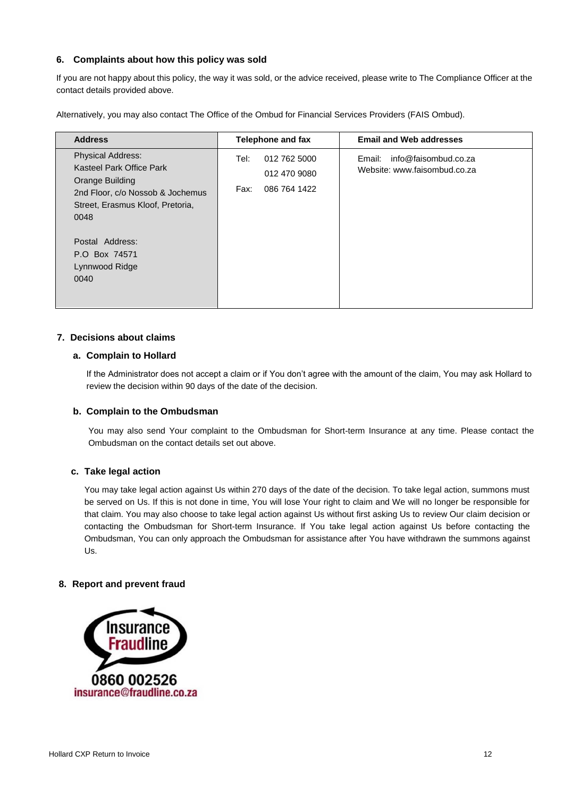#### **6. Complaints about how this policy was sold**

If you are not happy about this policy, the way it was sold, or the advice received, please write to The Compliance Officer at the contact details provided above.

Alternatively, you may also contact The Office of the Ombud for Financial Services Providers (FAIS Ombud).

| <b>Address</b>                                                                                                                                                                                                        | <b>Telephone and fax</b>                                     | <b>Email and Web addresses</b>                                 |
|-----------------------------------------------------------------------------------------------------------------------------------------------------------------------------------------------------------------------|--------------------------------------------------------------|----------------------------------------------------------------|
| <b>Physical Address:</b><br>Kasteel Park Office Park<br>Orange Building<br>2nd Floor, c/o Nossob & Jochemus<br>Street, Erasmus Kloof, Pretoria,<br>0048<br>Postal Address:<br>P.O Box 74571<br>Lynnwood Ridge<br>0040 | 012 762 5000<br>Tel:<br>012 470 9080<br>086 764 1422<br>Fax: | info@faisombud.co.za<br>Email:<br>Website: www.faisombud.co.za |

#### **7. Decisions about claims**

#### **a. Complain to Hollard**

If the Administrator does not accept a claim or if You don't agree with the amount of the claim, You may ask Hollard to review the decision within 90 days of the date of the decision.

#### **b. Complain to the Ombudsman**

You may also send Your complaint to the Ombudsman for Short-term Insurance at any time. Please contact the Ombudsman on the contact details set out above.

#### **c. Take legal action**

You may take legal action against Us within 270 days of the date of the decision. To take legal action, summons must be served on Us. If this is not done in time, You will lose Your right to claim and We will no longer be responsible for that claim. You may also choose to take legal action against Us without first asking Us to review Our claim decision or contacting the Ombudsman for Short-term Insurance. If You take legal action against Us before contacting the Ombudsman, You can only approach the Ombudsman for assistance after You have withdrawn the summons against Us.

#### **8. Report and prevent fraud**